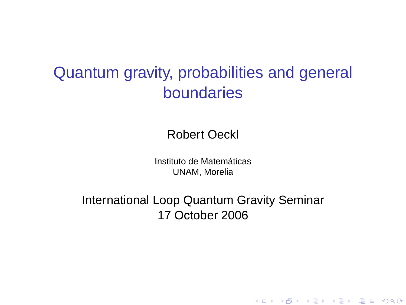## Quantum gravity, probabilities and general boundaries

Robert Oeckl

Instituto de Matemáticas UNAM, Morelia

<span id="page-0-0"></span>International Loop Quantum Gravity Seminar 17 October 2006

K ロ ▶ K @ ▶ K 할 ▶ K 할 ▶ 그럴 게 이익어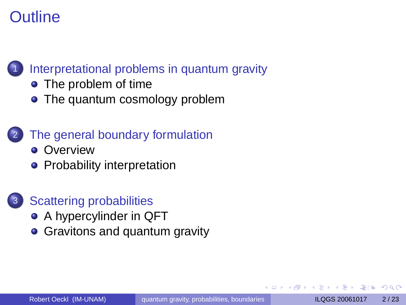## Outline



#### [Interpretational problems in quantum gravity](#page-2-0)

- [The problem of time](#page-3-0)
- [The quantum cosmology problem](#page-6-0)

#### [The general boundary formulation](#page-7-0)

- **•** [Overview](#page-7-0)
- [Probability interpretation](#page-10-0)



- [A hypercylinder in QFT](#page-14-0)
- [Gravitons and quantum gravity](#page-16-0)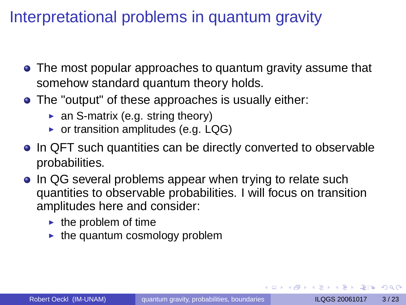## Interpretational problems in quantum gravity

- The most popular approaches to quantum gravity assume that somehow standard quantum theory holds.
- The "output" of these approaches is usually either:
	- $\triangleright$  an S-matrix (e.g. string theory)
	- $\triangleright$  or transition amplitudes (e.g. LQG)
- In QFT such quantities can be directly converted to observable probabilities.
- In QG several problems appear when trying to relate such quantities to observable probabilities. I will focus on transition amplitudes here and consider:
	- $\blacktriangleright$  the problem of time
	- $\blacktriangleright$  the quantum cosmology problem

<span id="page-2-0"></span> $AB + AB + AB + BB$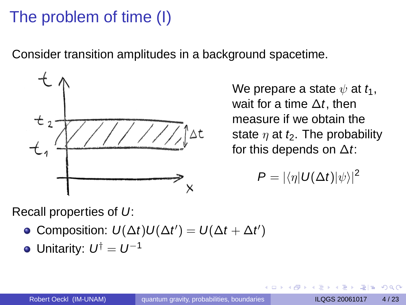# The problem of time (I)

Consider transition amplitudes in a background spacetime.



We prepare a state  $\psi$  at  $t_1$ , wait for a time  $\Delta t$ , then measure if we obtain the state  $\eta$  at  $t_2$ . The probability for this depends on  $\Delta t$ :

<span id="page-3-0"></span>
$$
P=|\langle \eta| U(\Delta t)|\psi\rangle|^2
$$

Recall properties of U:

• Composition: 
$$
U(\Delta t)U(\Delta t') = U(\Delta t + \Delta t')
$$

Unitarity:  $U^{\dagger} = U^{-1}$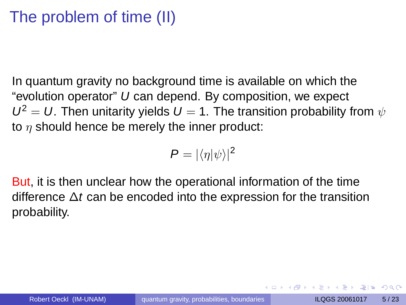# The problem of time (II)

In quantum gravity no background time is available on which the "evolution operator" U can depend. By composition, we expect  $U^2 = U$ . Then unitarity yields  $U = 1$ . The transition probability from  $\psi$ to  $\eta$  should hence be merely the inner product:

$$
P=|\langle \eta | \psi \rangle|^2
$$

But, it is then unclear how the operational information of the time difference  $\Delta t$  can be encoded into the expression for the transition probability.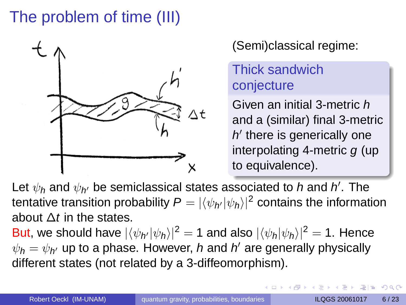# The problem of time (III)



(Semi)classical regime:

#### Thick sandwich conjecture

Given an initial 3-metric h and a (similar) final 3-metric  $h'$  there is generically one interpolating 4-metric  $q$  (up to equivalence).

Let  $\psi_h$  and  $\psi_{h'}$  be semiclassical states associated to  $h$  and  $h'$ . The tentative transition probability  $\pmb{\mathsf{P}}=|\langle \psi_{\pmb{\mathsf{N}}}|\psi_{\pmb{\mathsf{h}}}\rangle|^2$  contains the information about  $\Delta t$  in the states.

But, we should have  $|\langle \psi_{h'}|\psi_h\rangle|^2 = 1$  and also  $|\langle \psi_h|\psi_h\rangle|^2 = 1$ . Hence  $\psi_{\boldsymbol{h}}=\psi_{\boldsymbol{h}'}$  up to a phase. However,  $\boldsymbol{h}$  and  $\boldsymbol{h}'$  are generally physically different states (not related by a 3-diffeomorphism).

化重压 化重压 医性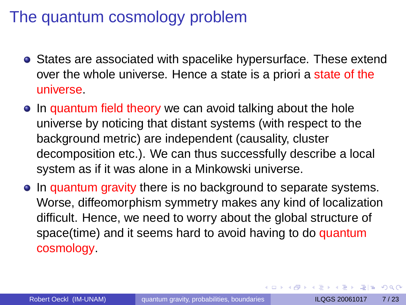#### The quantum cosmology problem

- **•** States are associated with spacelike hypersurface. These extend over the whole universe. Hence a state is a priori a state of the universe.
- In quantum field theory we can avoid talking about the hole universe by noticing that distant systems (with respect to the background metric) are independent (causality, cluster decomposition etc.). We can thus successfully describe a local system as if it was alone in a Minkowski universe.
- In quantum gravity there is no background to separate systems. Worse, diffeomorphism symmetry makes any kind of localization difficult. Hence, we need to worry about the global structure of space(time) and it seems hard to avoid having to do quantum cosmology.

<span id="page-6-0"></span>KET KALLA BIK KET ALAH KALA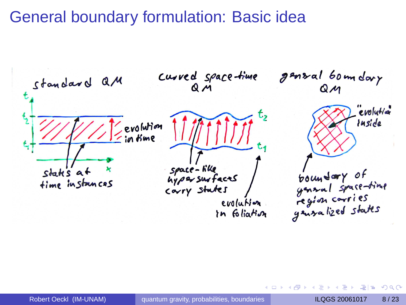#### General boundary formulation: Basic idea



<span id="page-7-0"></span> $\Omega$ 

化重压 化重压 医慢性

4 同 下

4 0 8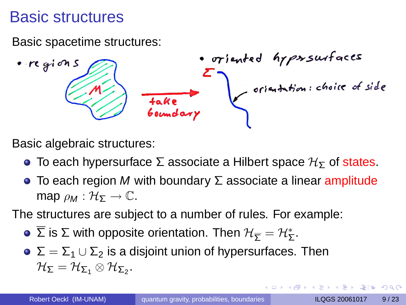#### Basic structures

Basic spacetime structures:

Basic algebraic structures:

- To each hypersurface  $\Sigma$  associate a Hilbert space  $\mathcal{H}_{\Sigma}$  of states.
- $\bullet$  To each region M with boundary  $\Sigma$  associate a linear amplitude map  $\rho_M : \mathcal{H}_{\Sigma} \to \mathbb{C}$ .

The structures are subject to a number of rules. For example:

- $\overline{\Sigma}$  is Σ with opposite orientation. Then  $\mathcal{H}_{\overline{\Sigma}}=\mathcal{H}_{\Sigma}^* .$
- $\sum = \sum_1 \cup \sum_2$  is a disjoint union of hypersurfaces. Then  $\mathcal{H}_{\mathsf{\Sigma}} = \mathcal{H}_{\mathsf{\Sigma}_1} \otimes \mathcal{H}_{\mathsf{\Sigma}_2}.$

 $AB + AB + AB + BB$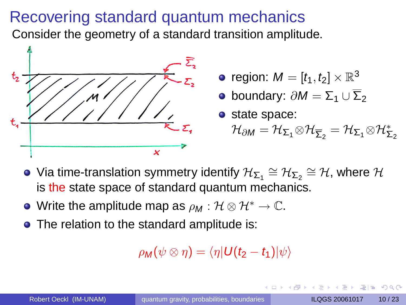#### Recovering standard quantum mechanics

Consider the geometry of a standard transition amplitude.



- region:  $M=[t_1,t_2]\times\mathbb{R}^3$
- $\bullet$  boundary:  $\partial M = \Sigma_1 \cup \overline{\Sigma}_2$
- state space:
	- $\mathcal{H}_{\partial M}=\mathcal{H}_{\mathsf{\Sigma_{1}}}\otimes\mathcal{H}_{\mathsf{\Sigma_{2}}}=\mathcal{H}_{\mathsf{\Sigma_{1}}}\otimes\mathcal{H}_{\mathsf{\Sigma_{2}}}^{*}$
- Via time-translation symmetry identify  $\mathcal{H}_{\Sigma_1}\cong \mathcal{H}_{\Sigma_2}\cong \mathcal{H}$ , where  $\mathcal{H}$ is the state space of standard quantum mechanics.
- Write the amplitude map as  $\rho_M : \mathcal{H} \otimes \mathcal{H}^* \to \mathbb{C}$ .
- The relation to the standard amplitude is:

<span id="page-9-0"></span>
$$
\rho_{\text{M}}(\psi \otimes \eta) = \langle \eta | \text{U}(t_2 - t_1) | \psi \rangle
$$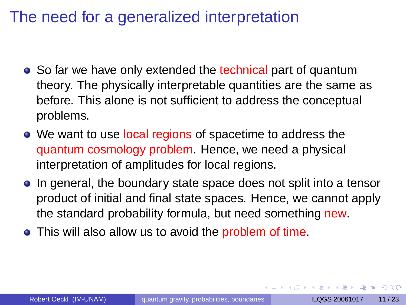### The need for a generalized interpretation

- So far we have only extended the technical part of quantum theory. The physically interpretable quantities are the same as before. This alone is not sufficient to address the conceptual problems.
- We want to use local regions of spacetime to address the quantum cosmology problem. Hence, we need a physical interpretation of amplitudes for local regions.
- In general, the boundary state space does not split into a tensor product of initial and final state spaces. Hence, we cannot apply the standard probability formula, but need something new.
- This will also allow us to avoid the problem of time.

<span id="page-10-0"></span> $\overline{AB}$  )  $\overline{AB}$  )  $\overline{AB}$  )  $\overline{AB}$  )  $\overline{BC}$   $\overline{AB}$  )  $\overline{BC}$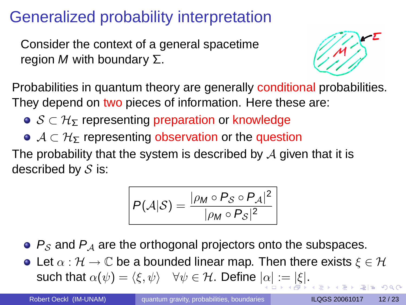## Generalized probability interpretation

Consider the context of a general spacetime region *M* with boundary  $Σ$ .



Probabilities in quantum theory are generally conditional probabilities. They depend on two pieces of information. Here these are:

- $\bullet$   $S \subset \mathcal{H}_{\Sigma}$  representing preparation or knowledge
- $\bullet$   $\mathcal{A} \subset \mathcal{H}_{\Sigma}$  representing observation or the question

The probability that the system is described by  $A$  given that it is described by  $S$  is:

<span id="page-11-0"></span>
$$
P(\mathcal{A}|\mathcal{S}) = \frac{|\rho_M \circ P_{\mathcal{S}} \circ P_{\mathcal{A}}|^2}{|\rho_M \circ P_{\mathcal{S}}|^2}
$$

 $\bullet$   $P_S$  and  $P_A$  are the orthogonal projectors onto the subspaces.

**•** Let  $\alpha : \mathcal{H} \to \mathbb{C}$  be a bounded linear map. Then there exists  $\xi \in \mathcal{H}$ such that  $\alpha(\psi) = \langle \xi, \psi \rangle \quad \forall \psi \in \mathcal{H}$ [.](#page-9-0) Define  $|\alpha| := |\xi|$  $|\alpha| := |\xi|$  $|\alpha| := |\xi|$  $|\alpha| := |\xi|$  $|\alpha| := |\xi|$ .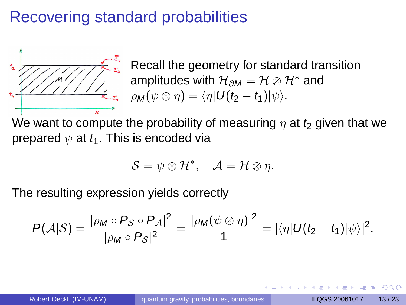### Recovering standard probabilities



Recall the geometry for standard transition amplitudes with  $\mathcal{H}_{\partial M} = \mathcal{H} \otimes \mathcal{H}^*$  and  $\rho_M(\psi \otimes \eta) = \langle \eta | U(t_2 - t_1)|\psi \rangle.$ 

We want to compute the probability of measuring  $\eta$  at  $t_2$  given that we prepared  $\psi$  at  $t_1$ . This is encoded via

<span id="page-12-0"></span>
$$
S=\psi\otimes\mathcal{H}^*,\quad \mathcal{A}=\mathcal{H}\otimes\eta.
$$

The resulting expression yields correctly

$$
P(\mathcal{A}|\mathcal{S})=\frac{|\rho_M\circ P_{\mathcal{S}}\circ P_{\mathcal{A}}|^2}{|\rho_M\circ P_{\mathcal{S}}|^2}=\frac{|\rho_M(\psi\otimes\eta)|^2}{1}=|\langle\eta|U(t_2-t_1)|\psi\rangle|^2.
$$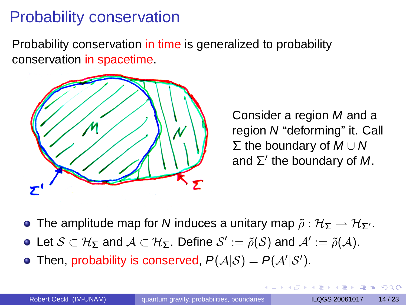## Probability conservation

Probability conservation in time is generalized to probability conservation in spacetime.



Consider a region M and a region N "deforming" it. Call  $\Sigma$  the boundary of  $M \cup N$ and  $\Sigma'$  the boundary of M.

- **•** The amplitude map for N induces a unitary map  $\tilde{\rho}: \mathcal{H}_{\Sigma} \to \mathcal{H}_{\Sigma'}$ .
- Let  $\mathcal{S}\subset \mathcal{H}_{\Sigma}$  and  $\mathcal{A}\subset \mathcal{H}_{\Sigma}$ . Define  $\mathcal{S}':=\tilde{\rho}(\mathcal{S})$  and  $\mathcal{A}':=\tilde{\rho}(\mathcal{A}).$
- Then, probability is conserved,  $P(A|S) = P(A'|S')$ .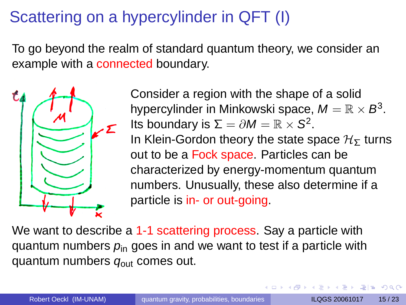# Scattering on a hypercylinder in QFT (I)

To go beyond the realm of standard quantum theory, we consider an example with a connected boundary.



Consider a region with the shape of a solid hypercylinder in Minkowski space,  $M=\mathbb{R}\times\mathcal{B}^3.$ Its boundary is  $\Sigma = \partial M = \mathbb{R} \times S^2$ . In Klein-Gordon theory the state space  $H<sub>5</sub>$  turns out to be a Fock space. Particles can be characterized by energy-momentum quantum numbers. Unusually, these also determine if a particle is in- or out-going.

We want to describe a 1-1 scattering process. Say a particle with quantum numbers  $p_{in}$  goes in and we want to test if a particle with quantum numbers  $q<sub>out</sub>$  comes out.

<span id="page-14-0"></span>KET KALLA BIK KET ALAH KALA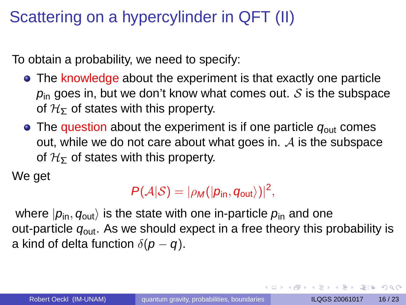# Scattering on a hypercylinder in QFT (II)

To obtain a probability, we need to specify:

- The knowledge about the experiment is that exactly one particle  $p_{\text{in}}$  goes in, but we don't know what comes out.  $S$  is the subspace of  $H<sub>5</sub>$  of states with this property.
- $\bullet$  The question about the experiment is if one particle  $q_{\text{out}}$  comes out, while we do not care about what goes in.  $A$  is the subspace of  $H<sub>5</sub>$  of states with this property.

We get

#### $P(A|S) = |\rho_M(|p_{\text{in}}, q_{\text{out}}\rangle)|^2,$

where  $|p_{in}, q_{out} \rangle$  is the state with one in-particle  $p_{in}$  and one out-particle  $q_{\text{out}}$ . As we should expect in a free theory this probability is a kind of delta function  $\delta(p-q)$ .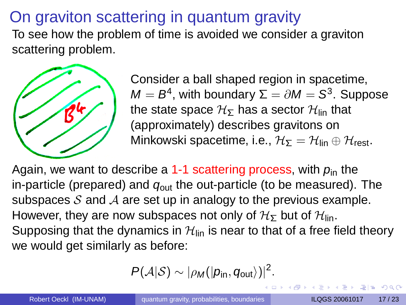## On graviton scattering in quantum gravity

To see how the problem of time is avoided we consider a graviton scattering problem.



Consider a ball shaped region in spacetime,  $\mathcal{M}=\mathcal{B}^4$ , with boundary  $\Sigma=\partial\mathcal{M}=\mathcal{S}^3.$  Suppose the state space  $H_{\Sigma}$  has a sector  $H_{lin}$  that (approximately) describes gravitons on Minkowski spacetime, i.e.,  $\mathcal{H}_{\Sigma} = \mathcal{H}_{lin} \oplus \mathcal{H}_{rest}$ .

Again, we want to describe a 1-1 scattering process, with  $p_{in}$  the in-particle (prepared) and  $q_{\text{out}}$  the out-particle (to be measured). The subspaces S and A are set up in analogy to the previous example. However, they are now subspaces not only of  $H_{\Sigma}$  but of  $H_{\text{lin}}$ . Supposing that the dynamics in  $\mathcal{H}_{lin}$  is near to that of a free field theory we would get similarly as before:

$$
P(\mathcal{A}|\mathcal{S}) \sim |\rho_{\text{M}}(|p_{\text{in}}, q_{\text{out}}\rangle)|^2.
$$

<span id="page-16-0"></span>KET KALLA BIK KET ALAH KALA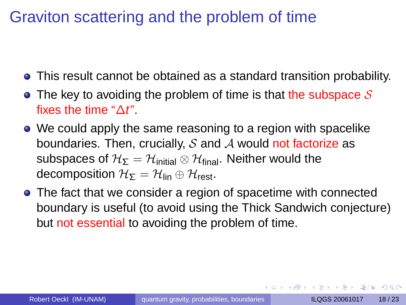### Graviton scattering and the problem of time

- This result cannot be obtained as a standard transition probability.
- The key to avoiding the problem of time is that the subspace  $\mathcal S$ fixes the time " $\Delta t$ ".
- We could apply the same reasoning to a region with spacelike boundaries. Then, crucially,  $S$  and  $A$  would not factorize as subspaces of  $H_{\Sigma} = H_{initial} \otimes H_{final}$ . Neither would the decomposition  $H_{\Sigma} = H_{lin} \oplus H_{rest}$ .
- The fact that we consider a region of spacetime with connected boundary is useful (to avoid using the Thick Sandwich conjecture) but not essential to avoiding the problem of time.

**KANKENKEN EE OQO**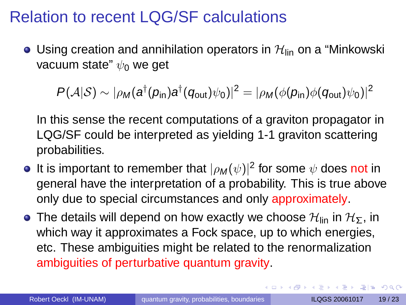#### Relation to recent LQG/SF calculations

• Using creation and annihilation operators in  $\mathcal{H}_{lin}$  on a "Minkowski vacuum state"  $\psi_0$  we get

$$
P(\mathcal{A}|\mathcal{S}) \sim |\rho_{\text{M}}(a^{\dagger}(p_{\text{in}})a^{\dagger}(q_{\text{out}})\psi_0)|^2 = |\rho_{\text{M}}(\phi(p_{\text{in}})\phi(q_{\text{out}})\psi_0)|^2
$$

In this sense the recent computations of a graviton propagator in LQG/SF could be interpreted as yielding 1-1 graviton scattering probabilities.

- It is important to remember that  $|\rho_{\bm M}(\psi)|^2$  for some  $\psi$  does not in general have the interpretation of a probability. This is true above only due to special circumstances and only approximately.
- **•** The details will depend on how exactly we choose  $\mathcal{H}_{lin}$  in  $\mathcal{H}_{\Sigma}$ , in which way it approximates a Fock space, up to which energies, etc. These ambiguities might be related to the renormalization ambiguities of perturbative quantum gravity.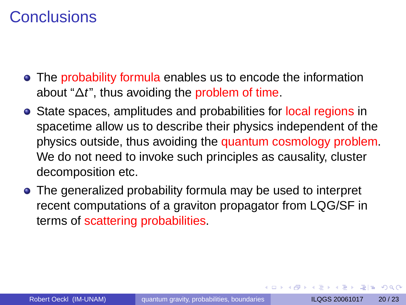#### **Conclusions**

- The probability formula enables us to encode the information about " $\Delta t$ ", thus avoiding the problem of time.
- **•** State spaces, amplitudes and probabilities for local regions in spacetime allow us to describe their physics independent of the physics outside, thus avoiding the quantum cosmology problem. We do not need to invoke such principles as causality, cluster decomposition etc.
- The generalized probability formula may be used to interpret recent computations of a graviton propagator from LQG/SF in terms of scattering probabilities.

 $\overline{AB}$  )  $\overline{AB}$  )  $\overline{AB}$  )  $\overline{AB}$  )  $\overline{BC}$   $\overline{BC}$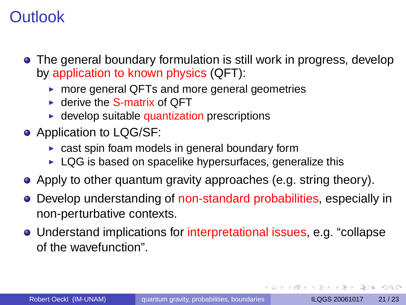## **Outlook**

- The general boundary formulation is still work in progress, develop by application to known physics (QFT):
	- $\triangleright$  more general QFTs and more general geometries
	- $\blacktriangleright$  derive the S-matrix of OFT
	- $\blacktriangleright$  develop suitable quantization prescriptions
- Application to LQG/SF:
	- $\triangleright$  cast spin foam models in general boundary form
	- $\blacktriangleright$  LQG is based on spacelike hypersurfaces, generalize this
- Apply to other quantum gravity approaches (e.g. string theory).
- Develop understanding of non-standard probabilities, especially in non-perturbative contexts.
- Understand implications for interpretational issues, e.g. "collapse of the wavefunction".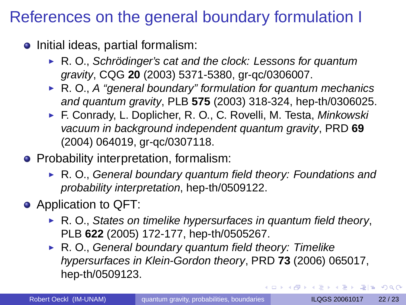## References on the general boundary formulation I

- $\bullet$  Initial ideas, partial formalism:
	- $\triangleright$  R. O., Schrödinger's cat and the clock: Lessons for quantum gravity, CQG **20** (2003) 5371-5380, gr-qc/0306007.
	- $\triangleright$  R. O., A "general boundary" formulation for quantum mechanics and quantum gravity, PLB **575** (2003) 318-324, hep-th/0306025.
	- ► F. Conrady, L. Doplicher, R. O., C. Rovelli, M. Testa, Minkowski vacuum in background independent quantum gravity, PRD **69** (2004) 064019, gr-qc/0307118.
- **•** Probability interpretation, formalism:
	- $\triangleright$  R. O., General boundary quantum field theory: Foundations and probability interpretation, hep-th/0509122.
- Application to QFT:
	- $\triangleright$  R. O., States on timelike hypersurfaces in quantum field theory, PLB **622** (2005) 172-177, hep-th/0505267.
	- $\triangleright$  R. O., General boundary quantum field theory: Timelike hypersurfaces in Klein-Gordon theory, PRD **73** (2006) 065017, hep-th/0509123.

KET KALLA BIK KET ALAH KALA